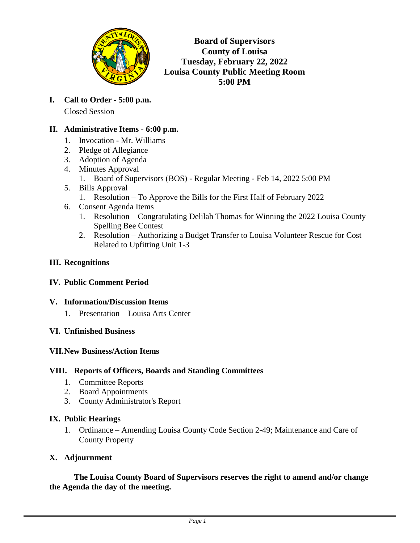

**Board of Supervisors County of Louisa Tuesday, February 22, 2022 Louisa County Public Meeting Room 5:00 PM**

**I. Call to Order - 5:00 p.m.** Closed Session

# **II. Administrative Items - 6:00 p.m.**

- 1. Invocation Mr. Williams
- 2. Pledge of Allegiance
- 3. Adoption of Agenda
- 4. Minutes Approval
	- 1. Board of Supervisors (BOS) Regular Meeting Feb 14, 2022 5:00 PM
- 5. Bills Approval
	- 1. Resolution To Approve the Bills for the First Half of February 2022
- 6. Consent Agenda Items
	- 1. Resolution Congratulating Delilah Thomas for Winning the 2022 Louisa County Spelling Bee Contest
	- 2. Resolution Authorizing a Budget Transfer to Louisa Volunteer Rescue for Cost Related to Upfitting Unit 1-3

### **III. Recognitions**

### **IV. Public Comment Period**

### **V. Information/Discussion Items**

1. Presentation – Louisa Arts Center

### **VI. Unfinished Business**

### **VII.New Business/Action Items**

### **VIII. Reports of Officers, Boards and Standing Committees**

- 1. Committee Reports
- 2. Board Appointments
- 3. County Administrator's Report

### **IX. Public Hearings**

1. Ordinance – Amending Louisa County Code Section 2-49; Maintenance and Care of County Property

# **X. Adjournment**

**The Louisa County Board of Supervisors reserves the right to amend and/or change the Agenda the day of the meeting.**